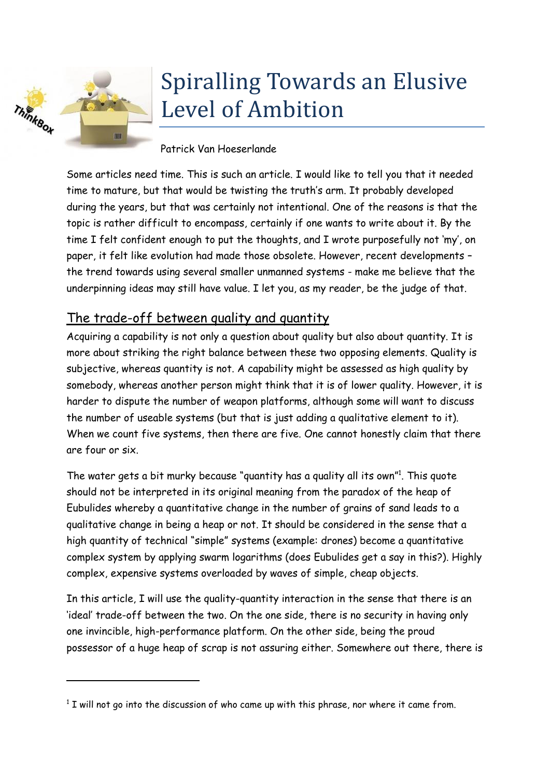

## Spiralling Towards an Elusive Level of Ambition

## Patrick Van Hoeserlande

Some articles need time. This is such an article. I would like to tell you that it needed time to mature, but that would be twisting the truth's arm. It probably developed during the years, but that was certainly not intentional. One of the reasons is that the topic is rather difficult to encompass, certainly if one wants to write about it. By the time I felt confident enough to put the thoughts, and I wrote purposefully not 'my', on paper, it felt like evolution had made those obsolete. However, recent developments – the trend towards using several smaller unmanned systems - make me believe that the underpinning ideas may still have value. I let you, as my reader, be the judge of that.

## The trade-off between quality and quantity

Acquiring a capability is not only a question about quality but also about quantity. It is more about striking the right balance between these two opposing elements. Quality is subjective, whereas quantity is not. A capability might be assessed as high quality by somebody, whereas another person might think that it is of lower quality. However, it is harder to dispute the number of weapon platforms, although some will want to discuss the number of useable systems (but that is just adding a qualitative element to it). When we count five systems, then there are five. One cannot honestly claim that there are four or six.

The water gets a bit murky because "quantity has a quality all its own"<sup>1</sup>. This quote should not be interpreted in its original meaning from the paradox of the heap of Eubulides whereby a quantitative change in the number of grains of sand leads to a qualitative change in being a heap or not. It should be considered in the sense that a high quantity of technical "simple" systems (example: drones) become a quantitative complex system by applying swarm logarithms (does Eubulides get a say in this?). Highly complex, expensive systems overloaded by waves of simple, cheap objects.

In this article, I will use the quality-quantity interaction in the sense that there is an 'ideal' trade-off between the two. On the one side, there is no security in having only one invincible, high-performance platform. On the other side, being the proud possessor of a huge heap of scrap is not assuring either. Somewhere out there, there is

 $1$  I will not go into the discussion of who came up with this phrase, nor where it came from.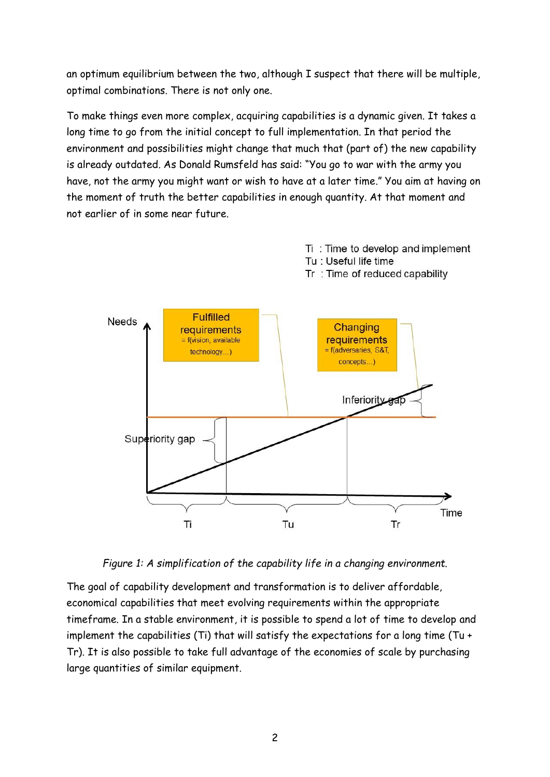an optimum equilibrium between the two, although I suspect that there will be multiple, optimal combinations. There is not only one.

To make things even more complex, acquiring capabilities is a dynamic given. It takes a long time to go from the initial concept to full implementation. In that period the environment and possibilities might change that much that (part of) the new capability is already outdated. As Donald Rumsfeld has said: "You go to war with the army you have, not the army you might want or wish to have at a later time." You aim at having on the moment of truth the better capabilities in enough quantity. At that moment and not earlier of in some near future.

Ti: Time to develop and implement



*Figure 1: A simplification of the capability life in a changing environment.*

The goal of capability development and transformation is to deliver affordable, economical capabilities that meet evolving requirements within the appropriate timeframe. In a stable environment, it is possible to spend a lot of time to develop and implement the capabilities (Ti) that will satisfy the expectations for a long time (Tu + Tr). It is also possible to take full advantage of the economies of scale by purchasing large quantities of similar equipment.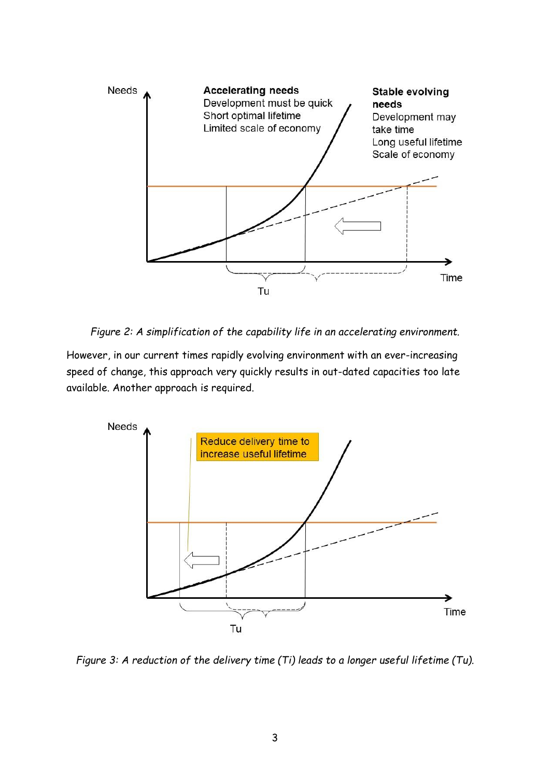

*Figure 2: A simplification of the capability life in an accelerating environment.*

However, in our current times rapidly evolving environment with an ever-increasing speed of change, this approach very quickly results in out-dated capacities too late available. Another approach is required.



*Figure 3: A reduction of the delivery time (Ti) leads to a longer useful lifetime (Tu).*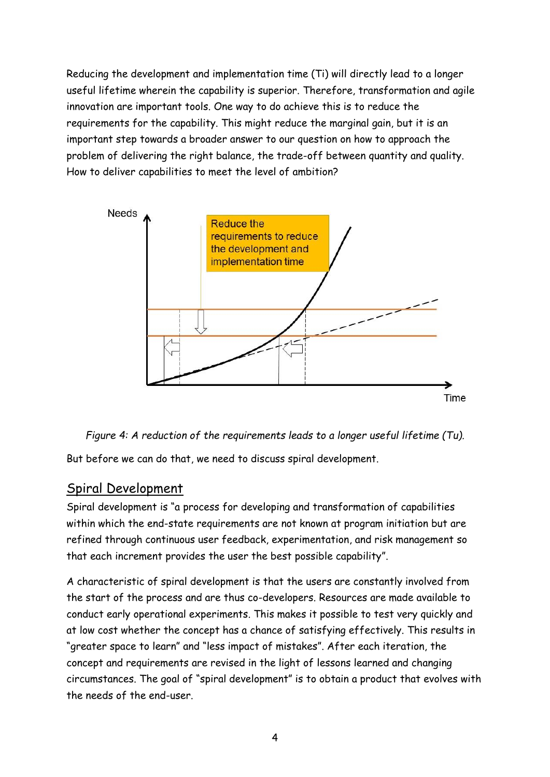Reducing the development and implementation time (Ti) will directly lead to a longer useful lifetime wherein the capability is superior. Therefore, transformation and agile innovation are important tools. One way to do achieve this is to reduce the requirements for the capability. This might reduce the marginal gain, but it is an important step towards a broader answer to our question on how to approach the problem of delivering the right balance, the trade-off between quantity and quality. How to deliver capabilities to meet the level of ambition?



<span id="page-3-0"></span>

But before we can do that, we need to discuss spiral development.

## Spiral Development

Spiral development is "a process for developing and transformation of capabilities within which the end-state requirements are not known at program initiation but are refined through continuous user feedback, experimentation, and risk management so that each increment provides the user the best possible capability".

A characteristic of spiral development is that the users are constantly involved from the start of the process and are thus co-developers. Resources are made available to conduct early operational experiments. This makes it possible to test very quickly and at low cost whether the concept has a chance of satisfying effectively. This results in "greater space to learn" and "less impact of mistakes". After each iteration, the concept and requirements are revised in the light of lessons learned and changing circumstances. The goal of "spiral development" is to obtain a product that evolves with the needs of the end-user.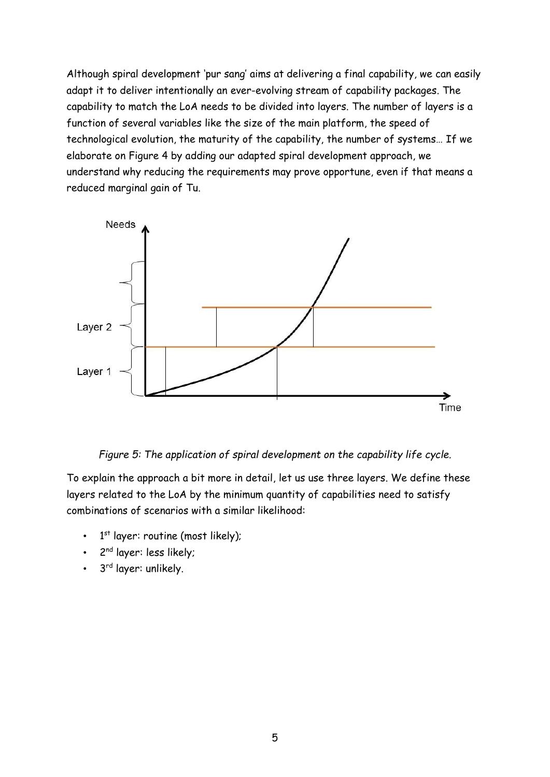Although spiral development 'pur sang' aims at delivering a final capability, we can easily adapt it to deliver intentionally an ever-evolving stream of capability packages. The capability to match the LoA needs to be divided into layers. The number of layers is a function of several variables like the size of the main platform, the speed of technological evolution, the maturity of the capability, the number of systems… If we elaborate on [Figure 4](#page-3-0) by adding our adapted spiral development approach, we understand why reducing the requirements may prove opportune, even if that means a reduced marginal gain of Tu.



*Figure 5: The application of spiral development on the capability life cycle.*

To explain the approach a bit more in detail, let us use three layers. We define these layers related to the LoA by the minimum quantity of capabilities need to satisfy combinations of scenarios with a similar likelihood:

- $\cdot$  1<sup>st</sup> layer: routine (most likely);
- 2<sup>nd</sup> layer: less likely;
- 3<sup>rd</sup> layer: unlikely.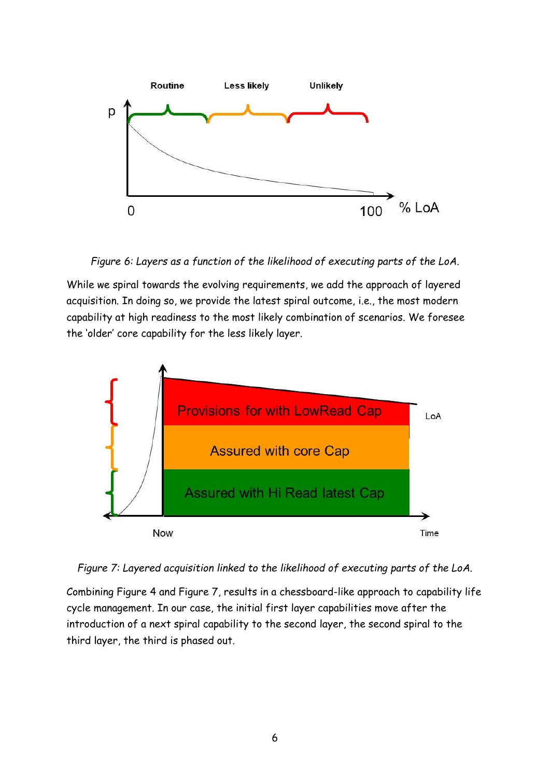

*Figure 6: Layers as a function of the likelihood of executing parts of the LoA.*

While we spiral towards the evolving requirements, we add the approach of layered acquisition. In doing so, we provide the latest spiral outcome, i.e., the most modern capability at high readiness to the most likely combination of scenarios. We foresee the 'older' core capability for the less likely layer.



<span id="page-5-0"></span>*Figure 7: Layered acquisition linked to the likelihood of executing parts of the LoA.*

Combining [Figure 4](#page-3-0) and [Figure 7,](#page-5-0) results in a chessboard-like approach to capability life cycle management. In our case, the initial first layer capabilities move after the introduction of a next spiral capability to the second layer, the second spiral to the third layer, the third is phased out.